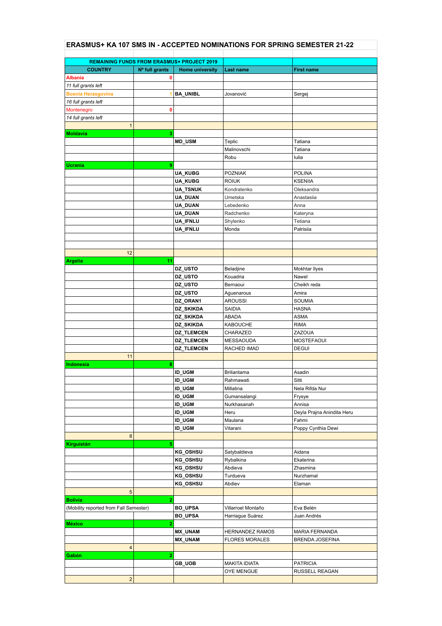## **ERASMUS+ KA 107 SMS IN - ACCEPTED NOMINATIONS FOR SPRING SEMESTER 21-22**

| <b>REMAINING FUNDS FROM ERASMUS+ PROJECT 2019</b> |                |                                |                             |                            |
|---------------------------------------------------|----------------|--------------------------------|-----------------------------|----------------------------|
| <b>COUNTRY</b>                                    | Nº full grants | <b>Home university</b>         | Last name                   | <b>First name</b>          |
| <b>Albania</b>                                    | 0              |                                |                             |                            |
| 11 full grants left                               |                |                                |                             |                            |
| <b>Bosnia Herzegovina</b>                         | 1              | <b>BA_UNIBL</b>                | Jovanović                   | Sergej                     |
| 16 full grants left                               |                |                                |                             |                            |
| Montenegro                                        | 0              |                                |                             |                            |
| 14 full grants left                               |                |                                |                             |                            |
| $\mathbf{1}$                                      |                |                                |                             |                            |
| <b>Moldavia</b>                                   | 3              |                                |                             |                            |
|                                                   |                | <b>MD_USM</b>                  | Teplic                      | Tatiana                    |
|                                                   |                |                                | Malinovschi                 | Tatiana                    |
|                                                   |                |                                | Robu                        | lulia                      |
| <b>Ucrania</b>                                    | 9              |                                |                             |                            |
|                                                   |                | <b>UA_KUBG</b>                 | <b>POZNIAK</b>              | <b>POLINA</b>              |
|                                                   |                | <b>UA_KUBG</b>                 | <b>ROIUK</b>                | <b>KSENIIA</b>             |
|                                                   |                | <b>UA_TSNUK</b>                | Kondratenko                 | Oleksandra                 |
|                                                   |                | UA_DUAN                        | Umetska                     | Anastasiia                 |
|                                                   |                | UA_DUAN                        | Lebedenko                   | Anna                       |
|                                                   |                | UA_DUAN                        | Radchenko                   | Kateryna                   |
|                                                   |                | UA_IFNLU                       | Shylenko                    | Tetiana                    |
|                                                   |                | UA_IFNLU                       | Monda                       | Patrisiia                  |
|                                                   |                |                                |                             |                            |
|                                                   |                |                                |                             |                            |
| 12                                                |                |                                |                             |                            |
| <b>Argelia</b>                                    | 11             |                                |                             |                            |
|                                                   |                | DZ_USTO                        | Beladjine                   | Mokhtar Ilyes              |
|                                                   |                | DZ_USTO                        | Kouadria                    | Nawel                      |
|                                                   |                | DZ_USTO                        | Bernaoui                    | Cheikh reda                |
|                                                   |                | DZ_USTO                        | Aguenarous                  | Amira                      |
|                                                   |                | DZ_ORAN1                       | <b>AROUSSI</b>              | SOUMIA                     |
|                                                   |                | DZ_SKIKDA                      | <b>SAIDIA</b>               | <b>HASNA</b>               |
|                                                   |                | DZ_SKIKDA                      | ABADA                       | <b>ASMA</b>                |
|                                                   |                | DZ_SKIKDA                      | <b>KABOUCHE</b>             | <b>RIMA</b>                |
|                                                   |                | <b>DZ_TLEMCEN</b>              | CHARAZED                    | <b>ZAZOUA</b>              |
|                                                   |                | <b>DZ_TLEMCEN</b>              | MESSAOUDA                   | <b>MOSTEFAOUI</b>          |
|                                                   |                | <b>DZ_TLEMCEN</b>              | RACHED IMAD                 | <b>DEGUI</b>               |
| 11                                                |                |                                |                             |                            |
| <b>Indonesia</b>                                  | 8              |                                |                             |                            |
|                                                   |                | <b>ID_UGM</b>                  | <b>Briliantama</b>          | Asadin                     |
|                                                   |                | <b>ID_UGM</b>                  | Rahmawati                   | Sitti                      |
|                                                   |                | <b>ID_UGM</b>                  | Millatina                   | Nela Rifda Nur             |
|                                                   |                | <b>ID_UGM</b><br><b>ID_UGM</b> | Gumansalangi<br>Nurkhasanah | Frysye<br>Annisa           |
|                                                   |                | <b>ID_UGM</b>                  | Heru                        | Deyla Prajna Anindita Heru |
|                                                   |                | <b>ID_UGM</b>                  | Maulana                     | Fahmi                      |
|                                                   |                | <b>ID_UGM</b>                  | Vitarani                    | Poppy Cynthia Dewi         |
| 8                                                 |                |                                |                             |                            |
| Kirguistán                                        | 5              |                                |                             |                            |
|                                                   |                | <b>KG_OSHSU</b>                | Satybaldieva                | Aidana                     |
|                                                   |                | <b>KG_OSHSU</b>                | Rybalkina                   | Ekaterina                  |
|                                                   |                | KG_OSHSU                       | Abdieva                     | Zhasmina                   |
|                                                   |                | KG_OSHSU                       | Turdueva                    | Nurzhamal                  |
|                                                   |                | <b>KG_OSHSU</b>                | Abdiev                      | Elaman                     |
| 5                                                 |                |                                |                             |                            |
| <b>Bolivia</b>                                    | 2              |                                |                             |                            |
| (Mobility reported from Fall Semester)            |                | <b>BO_UPSA</b>                 | Villarroel Montaño          | Eva Belén                  |
|                                                   |                | <b>BO_UPSA</b>                 | Harriague Suárez            | Juan Andrés                |
| <b>México</b>                                     | 2              |                                |                             |                            |
|                                                   |                | MX_UNAM                        | <b>HERNANDEZ RAMOS</b>      | <b>MARIA FERNANDA</b>      |
|                                                   |                | MX_UNAM                        | <b>FLORES MORALES</b>       | BRENDA JOSEFINA            |
| 4                                                 |                |                                |                             |                            |
| Gabón                                             | 2              |                                |                             |                            |
|                                                   |                | <b>GB_UOB</b>                  | <b>MAKITA IDIATA</b>        | <b>PATRICIA</b>            |
|                                                   |                |                                | OYE MENGUE                  | RUSSELL REAGAN             |
| $\overline{2}$                                    |                |                                |                             |                            |